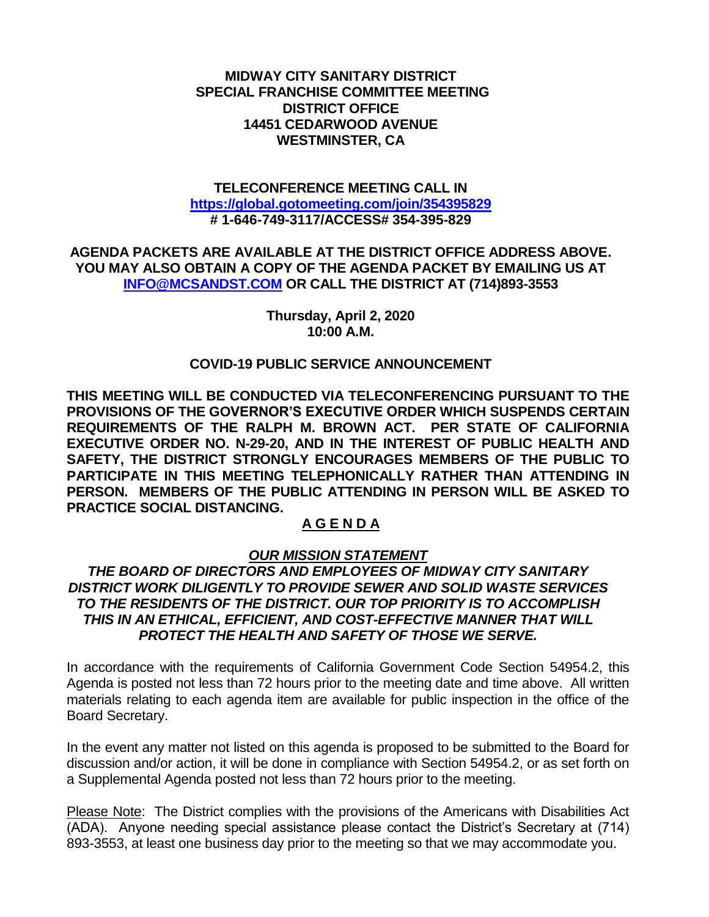**MIDWAY CITY SANITARY DISTRICT SPECIAL FRANCHISE COMMITTEE MEETING DISTRICT OFFICE 14451 CEDARWOOD AVENUE WESTMINSTER, CA**

#### **TELECONFERENCE MEETING CALL IN <https://global.gotomeeting.com/join/354395829> # 1-646-749-3117/ACCESS# 354-395-829**

**AGENDA PACKETS ARE AVAILABLE AT THE DISTRICT OFFICE ADDRESS ABOVE. YOU MAY ALSO OBTAIN A COPY OF THE AGENDA PACKET BY EMAILING US AT [INFO@MCSANDST.COM](mailto:INFO@MCSANDST.COM) OR CALL THE DISTRICT AT (714)893-3553**

> **Thursday, April 2, 2020 10:00 A.M.**

#### **COVID-19 PUBLIC SERVICE ANNOUNCEMENT**

**THIS MEETING WILL BE CONDUCTED VIA TELECONFERENCING PURSUANT TO THE PROVISIONS OF THE GOVERNOR'S EXECUTIVE ORDER WHICH SUSPENDS CERTAIN REQUIREMENTS OF THE RALPH M. BROWN ACT. PER STATE OF CALIFORNIA EXECUTIVE ORDER NO. N-29-20, AND IN THE INTEREST OF PUBLIC HEALTH AND SAFETY, THE DISTRICT STRONGLY ENCOURAGES MEMBERS OF THE PUBLIC TO PARTICIPATE IN THIS MEETING TELEPHONICALLY RATHER THAN ATTENDING IN PERSON. MEMBERS OF THE PUBLIC ATTENDING IN PERSON WILL BE ASKED TO PRACTICE SOCIAL DISTANCING.**

## **A G E N D A**

### *OUR MISSION STATEMENT*

### *THE BOARD OF DIRECTORS AND EMPLOYEES OF MIDWAY CITY SANITARY DISTRICT WORK DILIGENTLY TO PROVIDE SEWER AND SOLID WASTE SERVICES TO THE RESIDENTS OF THE DISTRICT. OUR TOP PRIORITY IS TO ACCOMPLISH THIS IN AN ETHICAL, EFFICIENT, AND COST-EFFECTIVE MANNER THAT WILL PROTECT THE HEALTH AND SAFETY OF THOSE WE SERVE.*

In accordance with the requirements of California Government Code Section 54954.2, this Agenda is posted not less than 72 hours prior to the meeting date and time above. All written materials relating to each agenda item are available for public inspection in the office of the Board Secretary.

In the event any matter not listed on this agenda is proposed to be submitted to the Board for discussion and/or action, it will be done in compliance with Section 54954.2, or as set forth on a Supplemental Agenda posted not less than 72 hours prior to the meeting.

Please Note: The District complies with the provisions of the Americans with Disabilities Act (ADA). Anyone needing special assistance please contact the District's Secretary at (714) 893-3553, at least one business day prior to the meeting so that we may accommodate you.